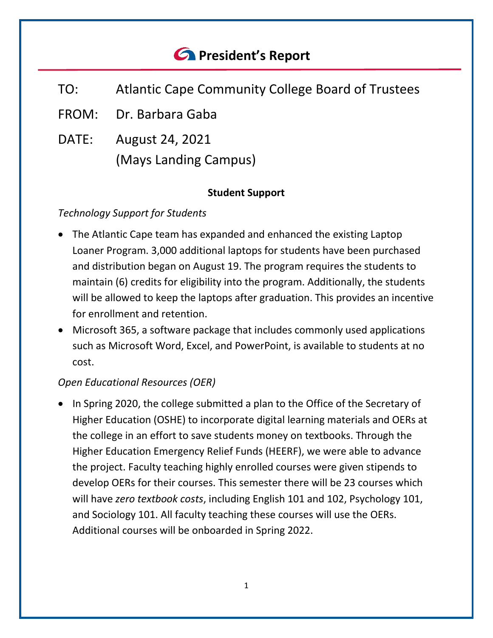# *<u>C* President's Report</u>

- TO: Atlantic Cape Community College Board of Trustees
- FROM: Dr. Barbara Gaba
- DATE: August 24, 2021 (Mays Landing Campus)

### **Student Support**

## *Technology Support for Students*

- The Atlantic Cape team has expanded and enhanced the existing Laptop Loaner Program. 3,000 additional laptops for students have been purchased and distribution began on August 19. The program requires the students to maintain (6) credits for eligibility into the program. Additionally, the students will be allowed to keep the laptops after graduation. This provides an incentive for enrollment and retention.
- Microsoft 365, a software package that includes commonly used applications such as Microsoft Word, Excel, and PowerPoint, is available to students at no cost.

## *Open Educational Resources (OER)*

• In Spring 2020, the college submitted a plan to the Office of the Secretary of Higher Education (OSHE) to incorporate digital learning materials and OERs at the college in an effort to save students money on textbooks. Through the Higher Education Emergency Relief Funds (HEERF), we were able to advance the project. Faculty teaching highly enrolled courses were given stipends to develop OERs for their courses. This semester there will be 23 courses which will have *zero textbook costs*, including English 101 and 102, Psychology 101, and Sociology 101. All faculty teaching these courses will use the OERs. Additional courses will be onboarded in Spring 2022.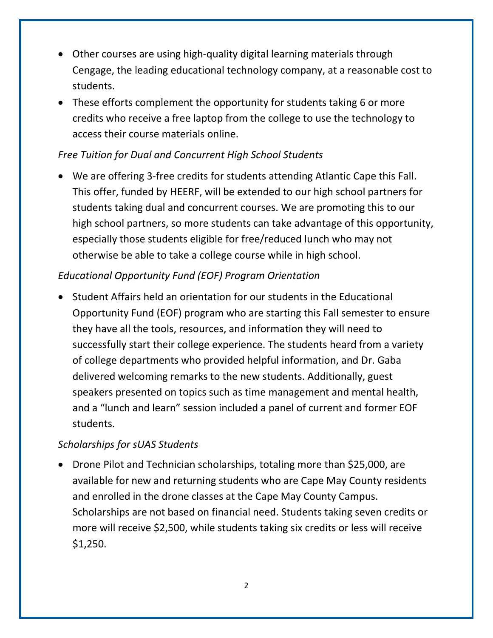- Other courses are using high-quality digital learning materials through Cengage, the leading educational technology company, at a reasonable cost to students.
- These efforts complement the opportunity for students taking 6 or more credits who receive a free laptop from the college to use the technology to access their course materials online.

## *Free Tuition for Dual and Concurrent High School Students*

• We are offering 3-free credits for students attending Atlantic Cape this Fall. This offer, funded by HEERF, will be extended to our high school partners for students taking dual and concurrent courses. We are promoting this to our high school partners, so more students can take advantage of this opportunity, especially those students eligible for free/reduced lunch who may not otherwise be able to take a college course while in high school.

## *Educational Opportunity Fund (EOF) Program Orientation*

• Student Affairs held an orientation for our students in the Educational Opportunity Fund (EOF) program who are starting this Fall semester to ensure they have all the tools, resources, and information they will need to successfully start their college experience. The students heard from a variety of college departments who provided helpful information, and Dr. Gaba delivered welcoming remarks to the new students. Additionally, guest speakers presented on topics such as time management and mental health, and a "lunch and learn" session included a panel of current and former EOF students.

## *Scholarships for sUAS Students*

• Drone Pilot and Technician scholarships, totaling more than \$25,000, are available for new and returning students who are Cape May County residents and enrolled in the drone classes at the Cape May County Campus. Scholarships are not based on financial need. Students taking seven credits or more will receive \$2,500, while students taking six credits or less will receive \$1,250.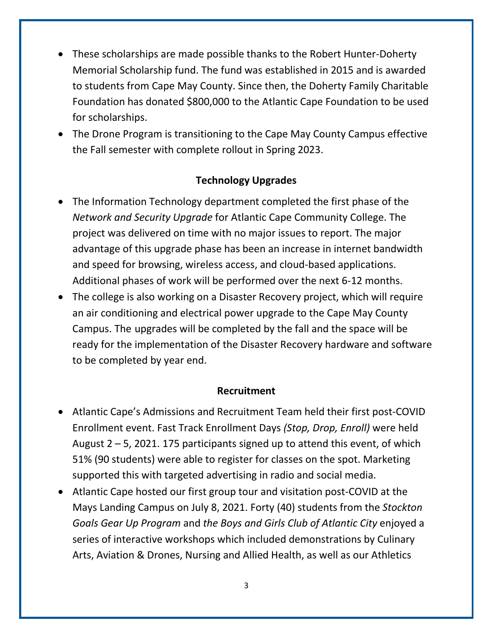- These scholarships are made possible thanks to the Robert Hunter-Doherty Memorial Scholarship fund. The fund was established in 2015 and is awarded to students from Cape May County. Since then, the Doherty Family Charitable Foundation has donated \$800,000 to the Atlantic Cape Foundation to be used for scholarships.
- The Drone Program is transitioning to the Cape May County Campus effective the Fall semester with complete rollout in Spring 2023.

#### **Technology Upgrades**

- The Information Technology department completed the first phase of the *Network and Security Upgrade* for Atlantic Cape Community College. The project was delivered on time with no major issues to report. The major advantage of this upgrade phase has been an increase in internet bandwidth and speed for browsing, wireless access, and cloud-based applications. Additional phases of work will be performed over the next 6-12 months.
- The college is also working on a Disaster Recovery project, which will require an air conditioning and electrical power upgrade to the Cape May County Campus. The upgrades will be completed by the fall and the space will be ready for the implementation of the Disaster Recovery hardware and software to be completed by year end.

#### **Recruitment**

- Atlantic Cape's Admissions and Recruitment Team held their first post-COVID Enrollment event. Fast Track Enrollment Days *(Stop, Drop, Enroll)* were held August  $2 - 5$ , 2021. 175 participants signed up to attend this event, of which 51% (90 students) were able to register for classes on the spot. Marketing supported this with targeted advertising in radio and social media.
- Atlantic Cape hosted our first group tour and visitation post-COVID at the Mays Landing Campus on July 8, 2021. Forty (40) students from the *Stockton Goals Gear Up Program* and *the Boys and Girls Club of Atlantic City* enjoyed a series of interactive workshops which included demonstrations by Culinary Arts, Aviation & Drones, Nursing and Allied Health, as well as our Athletics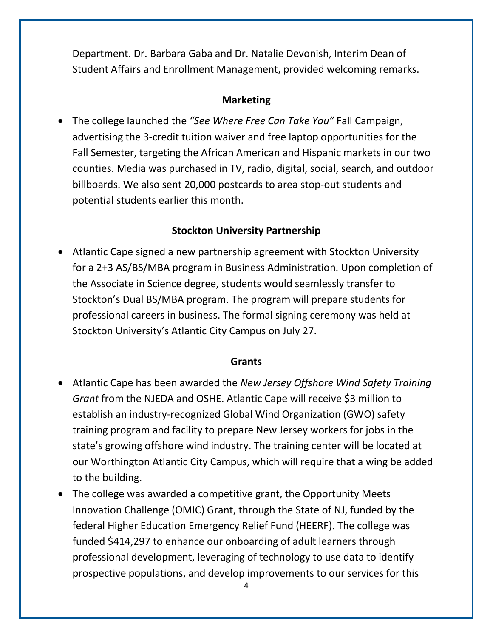Department. Dr. Barbara Gaba and Dr. Natalie Devonish, Interim Dean of Student Affairs and Enrollment Management, provided welcoming remarks.

#### **Marketing**

• The college launched the *"See Where Free Can Take You"* Fall Campaign, advertising the 3-credit tuition waiver and free laptop opportunities for the Fall Semester, targeting the African American and Hispanic markets in our two counties. Media was purchased in TV, radio, digital, social, search, and outdoor billboards. We also sent 20,000 postcards to area stop-out students and potential students earlier this month.

#### **Stockton University Partnership**

• Atlantic Cape signed a new partnership agreement with Stockton University for a 2+3 AS/BS/MBA program in Business Administration. Upon completion of the Associate in Science degree, students would seamlessly transfer to Stockton's Dual BS/MBA program. The program will prepare students for professional careers in business. The formal signing ceremony was held at Stockton University's Atlantic City Campus on July 27.

#### **Grants**

- Atlantic Cape has been awarded the *New Jersey Offshore Wind Safety Training Grant* from the NJEDA and OSHE. Atlantic Cape will receive \$3 million to establish an industry-recognized Global Wind Organization (GWO) safety training program and facility to prepare New Jersey workers for jobs in the state's growing offshore wind industry. The training center will be located at our Worthington Atlantic City Campus, which will require that a wing be added to the building.
- The college was awarded a competitive grant, the Opportunity Meets Innovation Challenge (OMIC) Grant, through the State of NJ, funded by the federal Higher Education Emergency Relief Fund (HEERF). The college was funded \$414,297 to enhance our onboarding of adult learners through professional development, leveraging of technology to use data to identify prospective populations, and develop improvements to our services for this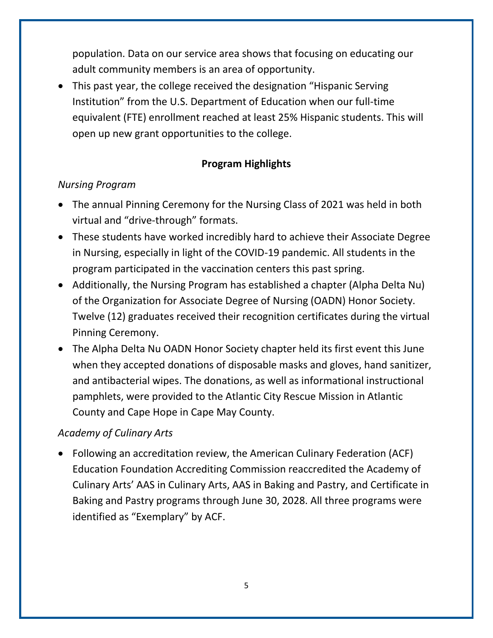population. Data on our service area shows that focusing on educating our adult community members is an area of opportunity.

• This past year, the college received the designation "Hispanic Serving Institution" from the U.S. Department of Education when our full-time equivalent (FTE) enrollment reached at least 25% Hispanic students. This will open up new grant opportunities to the college.

## **Program Highlights**

### *Nursing Program*

- The annual Pinning Ceremony for the Nursing Class of 2021 was held in both virtual and "drive-through" formats.
- These students have worked incredibly hard to achieve their Associate Degree in Nursing, especially in light of the COVID-19 pandemic. All students in the program participated in the vaccination centers this past spring.
- Additionally, the Nursing Program has established a chapter (Alpha Delta Nu) of the Organization for Associate Degree of Nursing (OADN) Honor Society. Twelve (12) graduates received their recognition certificates during the virtual Pinning Ceremony.
- The Alpha Delta Nu OADN Honor Society chapter held its first event this June when they accepted donations of disposable masks and gloves, hand sanitizer, and antibacterial wipes. The donations, as well as informational instructional pamphlets, were provided to the Atlantic City Rescue Mission in Atlantic County and Cape Hope in Cape May County.

## *Academy of Culinary Arts*

• Following an accreditation review, the American Culinary Federation (ACF) Education Foundation Accrediting Commission reaccredited the Academy of Culinary Arts' AAS in Culinary Arts, AAS in Baking and Pastry, and Certificate in Baking and Pastry programs through June 30, 2028. All three programs were identified as "Exemplary" by ACF.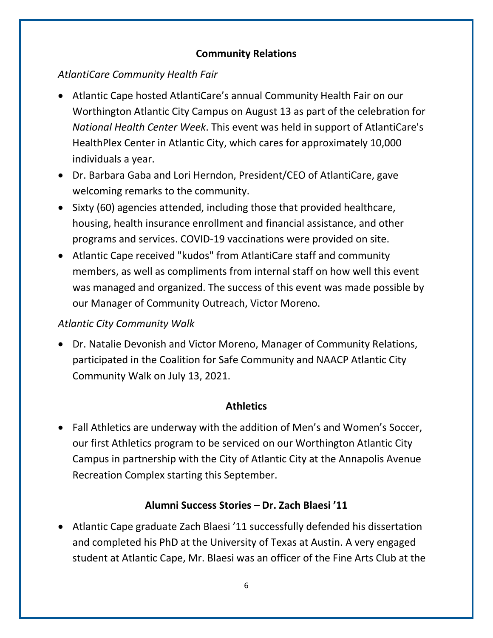#### **Community Relations**

## *AtlantiCare Community Health Fair*

- Atlantic Cape hosted AtlantiCare's annual Community Health Fair on our Worthington Atlantic City Campus on August 13 as part of the celebration for *National Health Center Week*. This event was held in support of AtlantiCare's HealthPlex Center in Atlantic City, which cares for approximately 10,000 individuals a year.
- Dr. Barbara Gaba and Lori Herndon, President/CEO of AtlantiCare, gave welcoming remarks to the community.
- Sixty (60) agencies attended, including those that provided healthcare, housing, health insurance enrollment and financial assistance, and other programs and services. COVID-19 vaccinations were provided on site.
- Atlantic Cape received "kudos" from AtlantiCare staff and community members, as well as compliments from internal staff on how well this event was managed and organized. The success of this event was made possible by our Manager of Community Outreach, Victor Moreno.

## *Atlantic City Community Walk*

• Dr. Natalie Devonish and Victor Moreno, Manager of Community Relations, participated in the Coalition for Safe Community and NAACP Atlantic City Community Walk on July 13, 2021.

## **Athletics**

• Fall Athletics are underway with the addition of Men's and Women's Soccer, our first Athletics program to be serviced on our Worthington Atlantic City Campus in partnership with the City of Atlantic City at the Annapolis Avenue Recreation Complex starting this September.

## **Alumni Success Stories – Dr. Zach Blaesi '11**

• Atlantic Cape graduate Zach Blaesi '11 successfully defended his dissertation and completed his PhD at the University of Texas at Austin. A very engaged student at Atlantic Cape, Mr. Blaesi was an officer of the Fine Arts Club at the